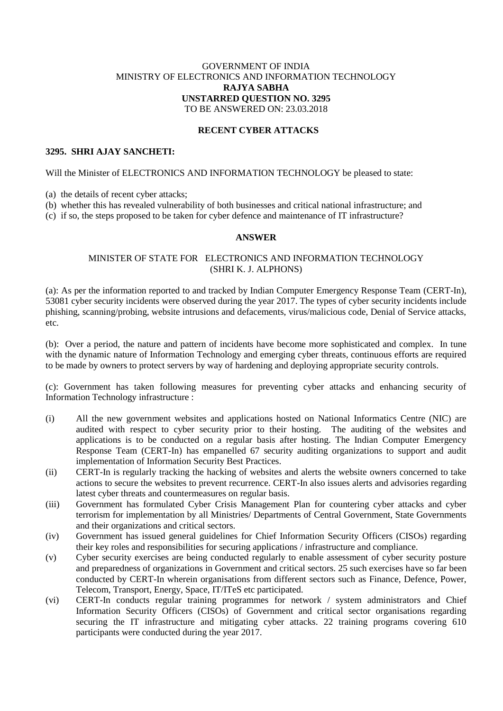# GOVERNMENT OF INDIA MINISTRY OF ELECTRONICS AND INFORMATION TECHNOLOGY **RAJYA SABHA UNSTARRED QUESTION NO. 3295** TO BE ANSWERED ON: 23.03.2018

### **RECENT CYBER ATTACKS**

# **3295. SHRI AJAY SANCHETI:**

Will the Minister of ELECTRONICS AND INFORMATION TECHNOLOGY be pleased to state:

(a) the details of recent cyber attacks;

(b) whether this has revealed vulnerability of both businesses and critical national infrastructure; and

(c) if so, the steps proposed to be taken for cyber defence and maintenance of IT infrastructure?

### **ANSWER**

# MINISTER OF STATE FOR ELECTRONICS AND INFORMATION TECHNOLOGY (SHRI K. J. ALPHONS)

(a): As per the information reported to and tracked by Indian Computer Emergency Response Team (CERT-In), 53081 cyber security incidents were observed during the year 2017. The types of cyber security incidents include phishing, scanning/probing, website intrusions and defacements, virus/malicious code, Denial of Service attacks, etc.

(b): Over a period, the nature and pattern of incidents have become more sophisticated and complex. In tune with the dynamic nature of Information Technology and emerging cyber threats, continuous efforts are required to be made by owners to protect servers by way of hardening and deploying appropriate security controls.

(c): Government has taken following measures for preventing cyber attacks and enhancing security of Information Technology infrastructure :

- (i) All the new government websites and applications hosted on National Informatics Centre (NIC) are audited with respect to cyber security prior to their hosting. The auditing of the websites and applications is to be conducted on a regular basis after hosting. The Indian Computer Emergency Response Team (CERT-In) has empanelled 67 security auditing organizations to support and audit implementation of Information Security Best Practices.
- (ii) CERT-In is regularly tracking the hacking of websites and alerts the website owners concerned to take actions to secure the websites to prevent recurrence. CERT-In also issues alerts and advisories regarding latest cyber threats and countermeasures on regular basis.
- (iii) Government has formulated Cyber Crisis Management Plan for countering cyber attacks and cyber terrorism for implementation by all Ministries/ Departments of Central Government, State Governments and their organizations and critical sectors.
- (iv) Government has issued general guidelines for Chief Information Security Officers (CISOs) regarding their key roles and responsibilities for securing applications / infrastructure and compliance.
- (v) Cyber security exercises are being conducted regularly to enable assessment of cyber security posture and preparedness of organizations in Government and critical sectors. 25 such exercises have so far been conducted by CERT-In wherein organisations from different sectors such as Finance, Defence, Power, Telecom, Transport, Energy, Space, IT/ITeS etc participated.
- (vi) CERT-In conducts regular training programmes for network / system administrators and Chief Information Security Officers (CISOs) of Government and critical sector organisations regarding securing the IT infrastructure and mitigating cyber attacks. 22 training programs covering 610 participants were conducted during the year 2017.